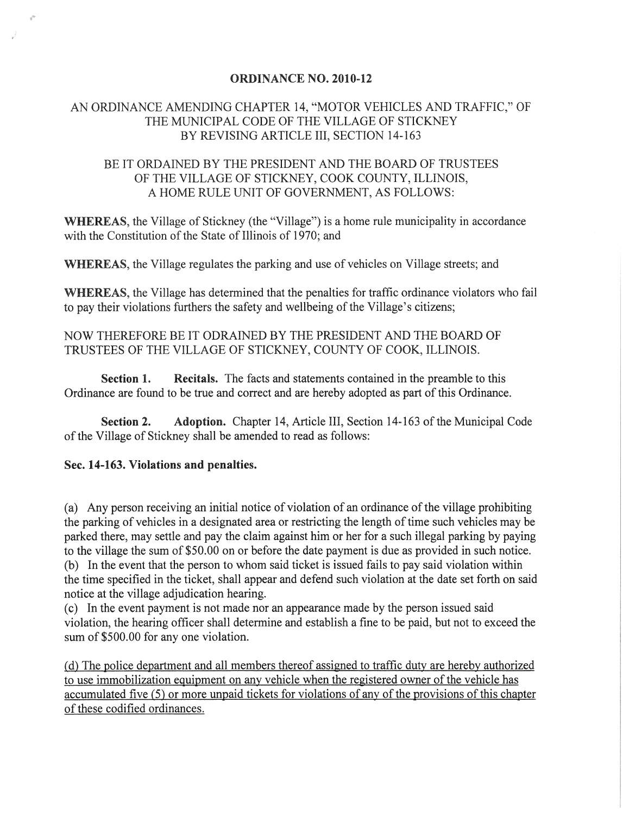#### ORDINANCE NO. 2010-12

# AN ORDINANCE AMENDING CHAPTER 14, "MOTOR VEHICLES AND TRAFFIC," OF THE MUNICIPAL CODE OF THE VILLAGE OF STICKNEY BY REVISING ARTICLE III, SECTION 14-163

# BE IT ORDAINED BY THE PRESIDENT AND THE BOARD OF TRUSTEES OF THE VILLAGE OF STICKNEY, COOK COUNTY, ILLINOIS, A HOME RULE UNIT OF GOVERNMENT, AS FOLLOWS:

WHEREAS, the Village of Stickney (the "Village") is a home rule municipality in accordance with the Constitution of the State of Illinois of 1970; and

WHEREAS, the Village regulates the parking and use of vehicles on Village streets; and

WHEREAS, the Village has determined that the penalties for traffic ordinance violators who fail to pay their violations furthers the safety and wellbeing of the Village's citizens;

### NOW THEREFORE BE IT ODRAINED BY THE PRESIDENT AND THE BOARD OF TRUSTEES OF THE VILLAGE OF STICKNEY, COUNTY OF COOK, ILLINOIS.

Section 1. Recitals. The facts and statements contained in the preamble to this Ordinance are found to be true and correct and are hereby adopted as part of this Ordinance.

Section 2. Adoption. Chapter 14, Article III, Section 14-163 of the Municipal Code of the Village of Stickney shall be amended to read as follows:

#### Sec. 14-163. Violations and penalties.

(a) Any person receiving an initial notice of violation of an ordinance of the village prohibiting the parking of vehicles in a designated area or restricting the length of time such vehicles may be parked there, may settle and pay the claim against him or her for a such illegal parking by paying to the village the sum of \$50.00 on or before the date payment is due as provided in such notice. (b) In the event that the person to whom said ticket is issued fails to pay said violation within the time specified in the ticket, shall appear and defend such violation at the date set forth on said notice at the village adjudication hearing.

(c) In the event payment is not made nor an appearance made by the person issued said violation, the hearing officer shall determine and establish a fine to be paid, but not to exceed the sum of \$500.00 for any one violation.

(d) The police department and all members thereof assigned to traffic duty are hereby authorized to use immobilization equipment on any vehicle when the registered owner of the vehicle has accumulated five (5) or more unpaid tickets for violations of any of the provisions of this chapter of these codified ordinances.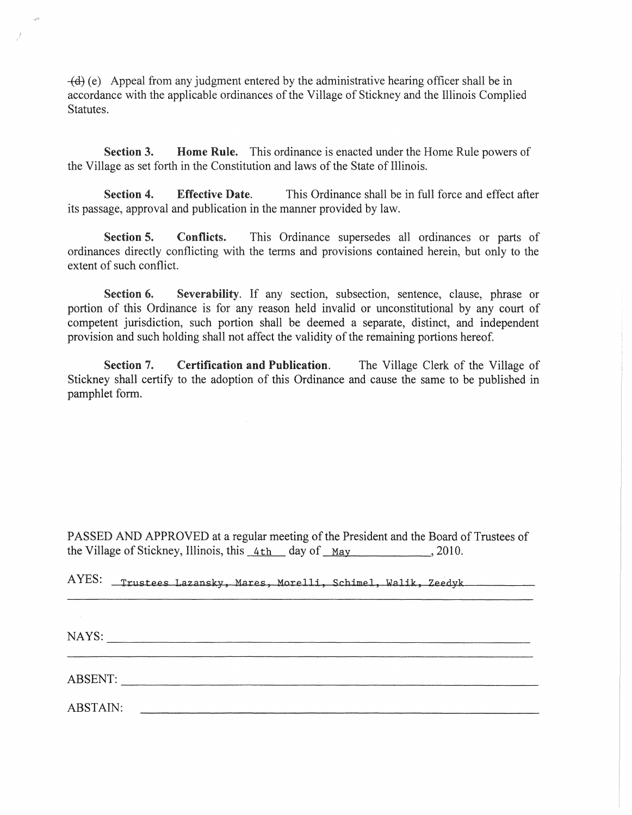$-\left(\frac{d}{e}\right)$  (e) Appeal from any judgment entered by the administrative hearing officer shall be in accordance with the applicable ordinances of the Village of Stickney and the Illinois Complied Statutes.

Section 3. Home Rule. This ordinance is enacted under the Home Rule powers of the Village as set forth in the Constitution and laws of the State of Illinois.

Section 4. Effective Date. This Ordinance shall be in full force and effect after its passage, approval and publication in the manner provided by law.

Section 5. Conflicts. This Ordinance supersedes all ordinances or parts of ordinances directly conflicting with the terms and provisions contained herein, but only to the extent of such conflict.

Section 6. Severability. If any section, subsection, sentence, clause, phrase or portion of this Ordinance is for any reason held invalid or unconstitutional by any court of competent jurisdiction, such portion shall be deemed a separate, distinct, and independent provision and such holding shall not affect the validity of the remaining portions hereof.

Section 7. Certification and Publication. The Village Clerk of the Village of Stickney shall certify to the adoption of this Ordinance and cause the same to be published in pamphlet form.

PASSED AND APPROVED at a regular meeting of the President and the Board of Trustees of the Village of Stickney, Illinois, this  $4th$  day of May , 2010.

| AYES: |                                                           |  |
|-------|-----------------------------------------------------------|--|
|       | Trustees Lazansky, Mares, Morelli, Schimel, Walik, Zeedyk |  |
|       |                                                           |  |

NAYS: \_\_\_\_\_\_\_\_\_\_\_\_\_\_\_\_\_\_\_\_\_\_\_\_\_\_\_\_\_\_\_\_\_\_\_\_\_\_\_\_\_\_\_\_\_\_\_\_\_\_ \_\_

ABSENT:

"

ABSTAIN: